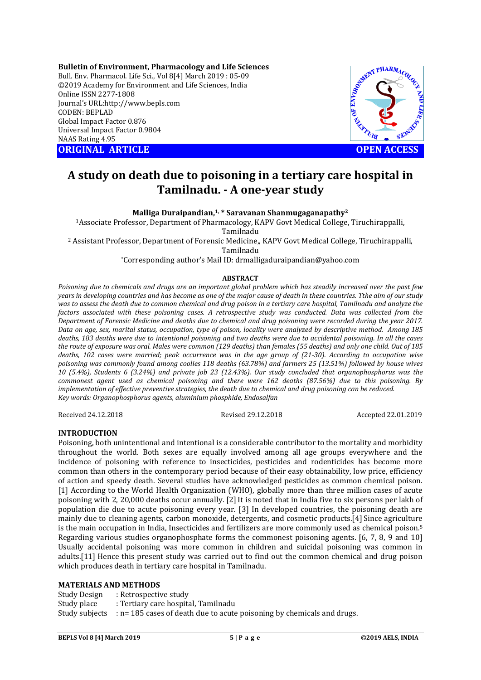**Bulletin of Environment, Pharmacology and Life Sciences** Bull. Env. Pharmacol. Life Sci., Vol 8[4] March 2019 : 05-09 ©2019 Academy for Environment and Life Sciences, India Online ISSN 2277-1808 Journal's URL:http://www.bepls.com CODEN: BEPLAD Global Impact Factor 0.876 Universal Impact Factor 0.9804 NAAS Rating 4.95 COLLER TRINCH ARTICLE **OPEN ACCESS** 



# **A study on death due to poisoning in a tertiary care hospital in Tamilnadu. - A one-year study**

**Malliga Duraipandian,1, \* Saravanan Shanmugaganapathy2**

1Associate Professor, Department of Pharmacology, KAPV Govt Medical College, Tiruchirappalli, Tamilnadu

<sup>2</sup> Assistant Professor, Department of Forensic Medicine,, KAPV Govt Medical College, Tiruchirappalli, Tamilnadu

\*Corresponding author's Mail ID: drmalligaduraipandian@yahoo.com

#### **ABSTRACT**

*Poisoning due to chemicals and drugs are an important global problem which has steadily increased over the past few years in developing countries and has become as one of the major cause of death in these countries. Tthe aim of our study was to assess the death due to common chemical and drug poison in a tertiary care hospital, Tamilnadu and analyze the*  factors associated with these poisoning cases. A retrospective study was conducted. Data was collected from the *Department of Forensic Medicine and deaths due to chemical and drug poisoning were recorded during the year 2017. Data on age, sex, marital status, occupation, type of poison, locality were analyzed by descriptive method. Among 185 deaths, 183 deaths were due to intentional poisoning and two deaths were due to accidental poisoning. In all the cases the route of exposure was oral. Males were common (129 deaths) than females (55 deaths) and only one child. Out of 185 deaths, 102 cases were married; peak occurrence was in the age group of (21-30). According to occupation wise poisoning was commonly found among coolies 118 deaths (63.78%) and farmers 25 (13.51%) followed by house wives 10 (5.4%), Students 6 (3.24%) and private job 23 (12.43%). Our study concluded that organophosphorus was the commonest agent used as chemical poisoning and there were 162 deaths (87.56%) due to this poisoning. By implementation of effective preventive strategies, the death due to chemical and drug poisoning can be reduced. Key words: Organophosphorus agents, aluminium phosphide, Endosalfan*

Received 24.12.2018 Revised 29.12.2018 Accepted 22.01.2019

# **INTRODUCTION**

Poisoning, both unintentional and intentional is a considerable contributor to the mortality and morbidity throughout the world. Both sexes are equally involved among all age groups everywhere and the incidence of poisoning with reference to insecticides, pesticides and rodenticides has become more common than others in the contemporary period because of their easy obtainability, low price, efficiency of action and speedy death. Several studies have acknowledged pesticides as common chemical poison. [1] According to the World Health Organization (WHO), globally more than three million cases of acute poisoning with 2, 20,000 deaths occur annually. [2] It is noted that in India five to six persons per lakh of population die due to acute poisoning every year. [3] In developed countries, the poisoning death are mainly due to cleaning agents, carbon monoxide, detergents, and cosmetic products.[4] Since agriculture is the main occupation in India, Insecticides and fertilizers are more commonly used as chemical poison.5 Regarding various studies organophosphate forms the commonest poisoning agents. [6, 7, 8, 9 and 10] Usually accidental poisoning was more common in children and suicidal poisoning was common in adults.[11] Hence this present study was carried out to find out the common chemical and drug poison which produces death in tertiary care hospital in Tamilnadu.

#### **MATERIALS AND METHODS**

Study Design : Retrospective study Study place : Tertiary care hospital, Tamilnadu Study subjects : n= 185 cases of death due to acute poisoning by chemicals and drugs.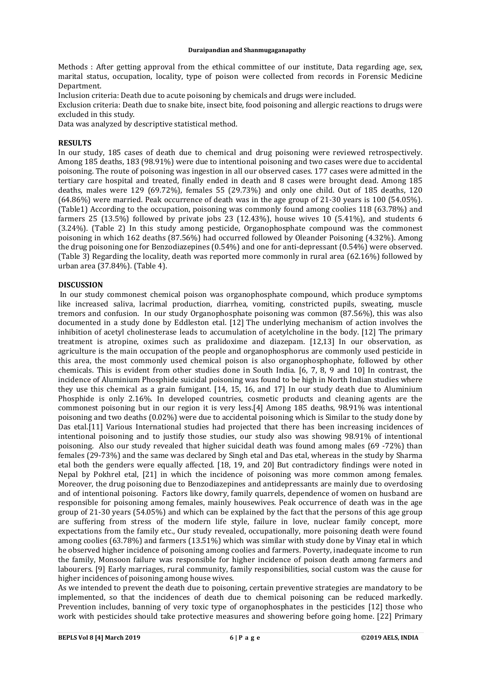Methods : After getting approval from the ethical committee of our institute, Data regarding age, sex, marital status, occupation, locality, type of poison were collected from records in Forensic Medicine Department.

Inclusion criteria: Death due to acute poisoning by chemicals and drugs were included.

Exclusion criteria: Death due to snake bite, insect bite, food poisoning and allergic reactions to drugs were excluded in this study.

Data was analyzed by descriptive statistical method.

#### **RESULTS**

In our study, 185 cases of death due to chemical and drug poisoning were reviewed retrospectively. Among 185 deaths, 183 (98.91%) were due to intentional poisoning and two cases were due to accidental poisoning. The route of poisoning was ingestion in all our observed cases. 177 cases were admitted in the tertiary care hospital and treated, finally ended in death and 8 cases were brought dead. Among 185 deaths, males were 129 (69.72%), females 55 (29.73%) and only one child. Out of 185 deaths, 120 (64.86%) were married. Peak occurrence of death was in the age group of 21-30 years is 100 (54.05%). (Table1) According to the occupation, poisoning was commonly found among coolies 118 (63.78%) and farmers 25 (13.5%) followed by private jobs 23 (12.43%), house wives 10 (5.41%), and students 6 (3.24%). (Table 2) In this study among pesticide, Organophosphate compound was the commonest poisoning in which 162 deaths (87.56%) had occurred followed by Oleander Poisoning (4.32%). Among the drug poisoning one for Benzodiazepines (0.54%) and one for anti-depressant (0.54%) were observed. (Table 3) Regarding the locality, death was reported more commonly in rural area (62.16%) followed by urban area (37.84%). (Table 4).

# **DISCUSSION**

In our study commonest chemical poison was organophosphate compound, which produce symptoms like increased saliva, lacrimal production, diarrhea, vomiting, constricted pupils, sweating, muscle tremors and confusion. In our study Organophosphate poisoning was common (87.56%), this was also documented in a study done by Eddleston etal. [12] The underlying mechanism of action involves the inhibition of acetyl cholinesterase leads to accumulation of acetylcholine in the body. [12] The primary treatment is atropine, oximes such as pralidoxime and diazepam. [12,13] In our observation, as agriculture is the main occupation of the people and organophosphorus are commonly used pesticide in this area, the most commonly used chemical poison is also organophosphophate, followed by other chemicals. This is evident from other studies done in South India. [6, 7, 8, 9 and 10] In contrast, the incidence of Aluminium Phosphide suicidal poisoning was found to be high in North Indian studies where they use this chemical as a grain fumigant. [14, 15, 16, and 17] In our study death due to Aluminium Phosphide is only 2.16%. In developed countries, cosmetic products and cleaning agents are the commonest poisoning but in our region it is very less.[4] Among 185 deaths, 98.91% was intentional poisoning and two deaths (0.02%) were due to accidental poisoning which is Similar to the study done by Das etal.[11] Various International studies had projected that there has been increasing incidences of intentional poisoning and to justify those studies, our study also was showing 98.91% of intentional poisoning. Also our study revealed that higher suicidal death was found among males (69 -72%) than females (29-73%) and the same was declared by Singh etal and Das etal, whereas in the study by Sharma etal both the genders were equally affected. [18, 19, and 20] But contradictory findings were noted in Nepal by Pokhrel etal, [21] in which the incidence of poisoning was more common among females. Moreover, the drug poisoning due to Benzodiazepines and antidepressants are mainly due to overdosing and of intentional poisoning. Factors like dowry, family quarrels, dependence of women on husband are responsible for poisoning among females, mainly housewives. Peak occurrence of death was in the age group of 21-30 years (54.05%) and which can be explained by the fact that the persons of this age group are suffering from stress of the modern life style, failure in love, nuclear family concept, more expectations from the family etc., Our study revealed, occupationally, more poisoning death were found among coolies (63.78%) and farmers (13.51%) which was similar with study done by Vinay etal in which he observed higher incidence of poisoning among coolies and farmers. Poverty, inadequate income to run the family, Monsoon failure was responsible for higher incidence of poison death among farmers and labourers. [9] Early marriages, rural community, family responsibilities, social custom was the cause for higher incidences of poisoning among house wives.

As we intended to prevent the death due to poisoning, certain preventive strategies are mandatory to be implemented, so that the incidences of death due to chemical poisoning can be reduced markedly. Prevention includes, banning of very toxic type of organophosphates in the pesticides [12] those who work with pesticides should take protective measures and showering before going home. [22] Primary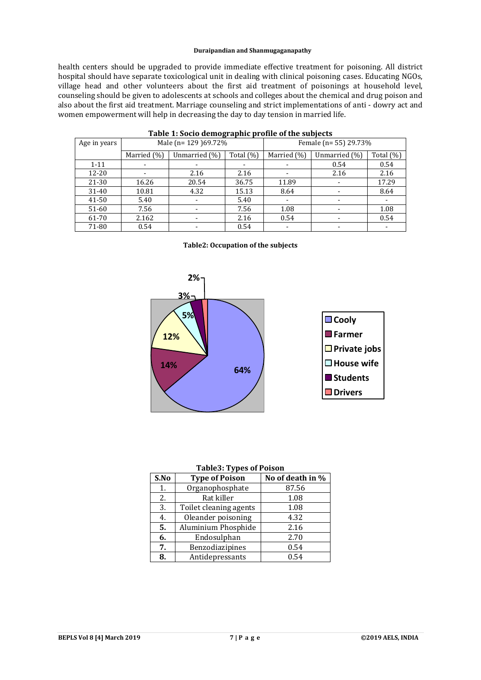health centers should be upgraded to provide immediate effective treatment for poisoning. All district hospital should have separate toxicological unit in dealing with clinical poisoning cases. Educating NGOs, village head and other volunteers about the first aid treatment of poisonings at household level, counseling should be given to adolescents at schools and colleges about the chemical and drug poison and also about the first aid treatment. Marriage counseling and strict implementations of anti - dowry act and women empowerment will help in decreasing the day to day tension in married life.

| Age in years | ີ<br>Male (n= 129 )69.72% |               |              | Female (n= 55) 29.73% |               |           |
|--------------|---------------------------|---------------|--------------|-----------------------|---------------|-----------|
|              | Married (%)               | Unmarried (%) | Total $(\%)$ | Married (%)           | Unmarried (%) | Total (%) |
| $1 - 11$     |                           |               |              |                       | 0.54          | 0.54      |
| $12 - 20$    |                           | 2.16          | 2.16         |                       | 2.16          | 2.16      |
| 21-30        | 16.26                     | 20.54         | 36.75        | 11.89                 |               | 17.29     |
| 31-40        | 10.81                     | 4.32          | 15.13        | 8.64                  |               | 8.64      |
| 41-50        | 5.40                      |               | 5.40         |                       |               |           |
| 51-60        | 7.56                      |               | 7.56         | 1.08                  |               | 1.08      |
| 61-70        | 2.162                     |               | 2.16         | 0.54                  |               | 0.54      |
| 71-80        | 0.54                      |               | 0.54         |                       |               | ۰         |

# **Table 1: Socio demographic profile of the subjects**





#### **Table3: Types of Poison**

| S.No | <b>Type of Poison</b>  | No of death in % |  |  |
|------|------------------------|------------------|--|--|
| 1.   | Organophosphate        | 87.56            |  |  |
| 2.   | Rat killer             | 1.08             |  |  |
| 3.   | Toilet cleaning agents | 1.08             |  |  |
| 4.   | Oleander poisoning     | 4.32             |  |  |
| 5.   | Aluminium Phosphide    | 2.16             |  |  |
| 6.   | Endosulphan            | 2.70             |  |  |
| 7.   | Benzodiazipines        | 0.54             |  |  |
| 8.   | Antidepressants        | 0.54             |  |  |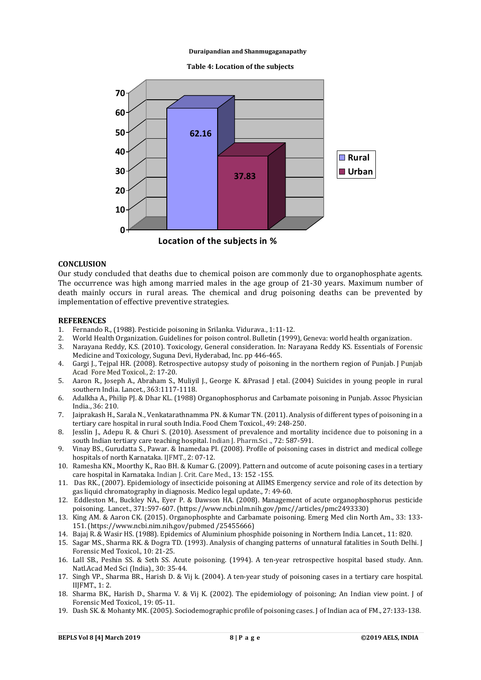**Table 4: Location of the subjects**



**Location of the subjects in %**

# **CONCLUSION**

Our study concluded that deaths due to chemical poison are commonly due to organophosphate agents. The occurrence was high among married males in the age group of 21-30 years. Maximum number of death mainly occurs in rural areas. The chemical and drug poisoning deaths can be prevented by implementation of effective preventive strategies.

# **REFERENCES**

- 1. Fernando R., (1988). Pesticide poisoning in Srilanka. Vidurava., 1:11-12.
- 2. World Health Organization. Guidelines for poison control. Bulletin (1999), Geneva: world health organization.
- 3. Narayana Reddy, K.S. (2010). Toxicology, General consideration. In: Narayana Reddy KS. Essentials of Forensic Medicine and Toxicology, Suguna Devi, Hyderabad, Inc. pp 446-465.
- 4. Gargi J., Tejpal HR. (2008). Retrospective autopsy study of poisoning in the northern region of Punjab. J Punjab Acad Fore Med Toxicol., 2: 17-20.
- 5. Aaron R., Joseph A., Abraham S., Muliyil J., George K. &Prasad J etal. (2004) Suicides in young people in rural southern India. Lancet., 363:1117-1118.
- 6. Adalkha A., Philip PJ. & Dhar KL. (1988) Organophosphorus and Carbamate poisoning in Punjab. Assoc Physician India., 36: 210.
- 7. Jaiprakash H., Sarala N., Venkatarathnamma PN. & Kumar TN. (2011). Analysis of different types of poisoning in a tertiary care hospital in rural south India. Food Chem Toxicol., 49: 248-250.
- 8. Jesslin J., Adepu R. & Churi S. (2010). Asessment of prevalence and mortality incidence due to poisoning in a south Indian tertiary care teaching hospital. Indian J. Pharm.Sci ., 72: 587-591.
- 9. Vinay BS., Gurudatta S., Pawar. & Inamedaa PI. (2008). Profile of poisoning cases in district and medical college hospitals of north Karnataka. IJFMT., 2: 07-12.
- 10. Ramesha KN., Moorthy K., Rao BH. & Kumar G. (2009). Pattern and outcome of acute poisoning cases in a tertiary care hospital in Karnataka. Indian J. Crit. Care Med., 13: 152 -155.
- 11. Das RK., (2007). Epidemiology of insecticide poisoning at AIIMS Emergency service and role of its detection by gas liquid chromatography in diagnosis. Medico legal update., 7: 49-60.
- 12. Eddleston M., Buckley NA., Eyer P. & Dawson HA. (2008). Management of acute organophosphorus pesticide poisoning. Lancet., 371:597-607. (https://www.ncbi.nlm.nih.gov/pmc//articles/pmc2493330)
- 13. King AM. & Aaron CK. (2015). Organophosphte and Carbamate poisoning. Emerg Med clin North Am., 33: 133- 151. (https://www.ncbi.nim.nih.gov/pubmed /25455666)
- 14. Bajaj R. & Wasir HS. (1988). Epidemics of Aluminium phosphide poisoning in Northern India. Lancet., 11: 820.
- 15. Sagar MS., Sharma RK. & Dogra TD. (1993). Analysis of changing patterns of unnatural fatalities in South Delhi. J Forensic Med Toxicol., 10: 21-25.
- 16. Lall SB., Peshin SS. & Seth SS. Acute poisoning. (1994). A ten-year retrospective hospital based study. Ann. Natl.Acad Med Sci (India)., 30: 35-44.
- 17. Singh VP., Sharma BR., Harish D. & Vij k. (2004). A ten-year study of poisoning cases in a tertiary care hospital. IIJFMT., 1: 2.
- 18. Sharma BK., Harish D., Sharma V. & Vij K. (2002). The epidemiology of poisoning; An Indian view point. J of Forensic Med Toxicol., 19: 05-11.
- 19. Dash SK. & Mohanty MK. (2005). Sociodemographic profile of poisoning cases. J of Indian aca of FM., 27:133-138.